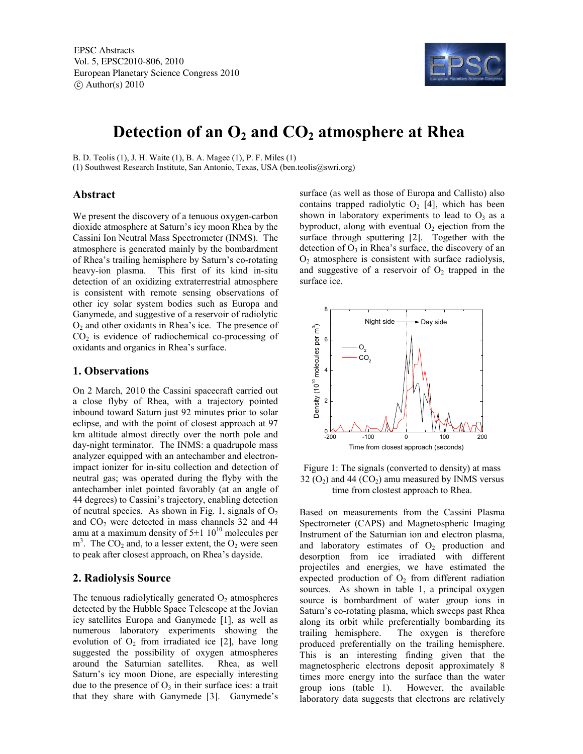EPSC Abstracts Vol. 5, EPSC2010-806, 2010 European Planetary Science Congress 2010  $\circ$  Author(s) 2010



# **Detection of an O2 and CO2 atmosphere at Rhea**

B. D. Teolis (1), J. H. Waite (1), B. A. Magee (1), P. F. Miles (1)

(1) Southwest Research Institute, San Antonio, Texas, USA (ben.teolis@swri.org)

#### **Abstract**

We present the discovery of a tenuous oxygen-carbon dioxide atmosphere at Saturn's icy moon Rhea by the Cassini Ion Neutral Mass Spectrometer (INMS). The atmosphere is generated mainly by the bombardment of Rhea's trailing hemisphere by Saturn's co-rotating heavy-ion plasma. This first of its kind in-situ detection of an oxidizing extraterrestrial atmosphere is consistent with remote sensing observations of other icy solar system bodies such as Europa and Ganymede, and suggestive of a reservoir of radiolytic  $O<sub>2</sub>$  and other oxidants in Rhea's ice. The presence of  $CO<sub>2</sub>$  is evidence of radiochemical co-processing of oxidants and organics in Rhea's surface.

## **1. Observations**

On 2 March, 2010 the Cassini spacecraft carried out a close flyby of Rhea, with a trajectory pointed inbound toward Saturn just 92 minutes prior to solar eclipse, and with the point of closest approach at 97 km altitude almost directly over the north pole and day-night terminator. The INMS: a quadrupole mass analyzer equipped with an antechamber and electronimpact ionizer for in-situ collection and detection of neutral gas; was operated during the flyby with the antechamber inlet pointed favorably (at an angle of 44 degrees) to Cassini's trajectory, enabling detection of neutral species. As shown in Fig. 1, signals of  $O_2$ and  $CO<sub>2</sub>$  were detected in mass channels 32 and 44 amu at a maximum density of  $5\pm1~10^{10}$  molecules per  $m<sup>3</sup>$ . The CO<sub>2</sub> and, to a lesser extent, the O<sub>2</sub> were seen to peak after closest approach, on Rhea's dayside.

## **2. Radiolysis Source**

The tenuous radiolytically generated  $O_2$  atmospheres detected by the Hubble Space Telescope at the Jovian icy satellites Europa and Ganymede [1], as well as numerous laboratory experiments showing the evolution of  $O_2$  from irradiated ice [2], have long suggested the possibility of oxygen atmospheres around the Saturnian satellites. Rhea, as well Saturn's icy moon Dione, are especially interesting due to the presence of  $O_3$  in their surface ices: a trait that they share with Ganymede [3]. Ganymede's

surface (as well as those of Europa and Callisto) also contains trapped radiolytic  $O_2$  [4], which has been shown in laboratory experiments to lead to  $O_3$  as a byproduct, along with eventual  $O<sub>2</sub>$  ejection from the surface through sputtering [2]. Together with the detection of  $O_3$  in Rhea's surface, the discovery of an  $O<sub>2</sub>$  atmosphere is consistent with surface radiolysis, and suggestive of a reservoir of  $O<sub>2</sub>$  trapped in the surface ice.



Figure 1: The signals (converted to density) at mass  $32$  (O<sub>2</sub>) and 44 (CO<sub>2</sub>) amu measured by INMS versus time from clostest approach to Rhea.

Based on measurements from the Cassini Plasma Spectrometer (CAPS) and Magnetospheric Imaging Instrument of the Saturnian ion and electron plasma, and laboratory estimates of  $O<sub>2</sub>$  production and desorption from ice irradiated with different projectiles and energies, we have estimated the expected production of  $O_2$  from different radiation sources. As shown in table 1, a principal oxygen source is bombardment of water group ions in Saturn's co-rotating plasma, which sweeps past Rhea along its orbit while preferentially bombarding its trailing hemisphere. The oxygen is therefore produced preferentially on the trailing hemisphere. This is an interesting finding given that the magnetospheric electrons deposit approximately 8 times more energy into the surface than the water group ions (table 1). However, the available laboratory data suggests that electrons are relatively